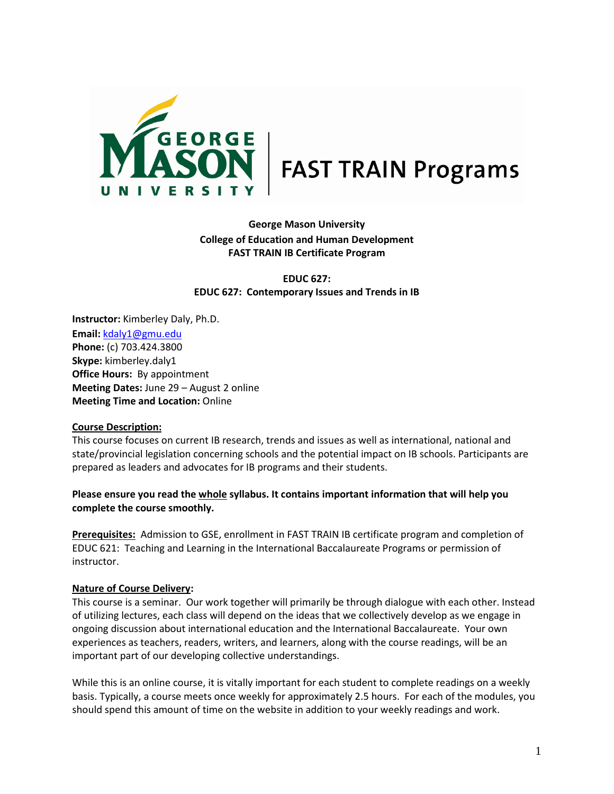

# **George Mason University College of Education and Human Development FAST TRAIN IB Certificate Program**

**EDUC 627: EDUC 627: Contemporary Issues and Trends in IB**

**Instructor:** Kimberley Daly, Ph.D. **Email:** kdaly1@gmu.edu **Phone:** (c) 703.424.3800 **Skype:** kimberley.daly1 **Office Hours:** By appointment **Meeting Dates:** June 29 – August 2 online **Meeting Time and Location:** Online

### **Course Description:**

This course focuses on current IB research, trends and issues as well as international, national and state/provincial legislation concerning schools and the potential impact on IB schools. Participants are prepared as leaders and advocates for IB programs and their students.

## **Please ensure you read the whole syllabus. It contains important information that will help you complete the course smoothly.**

**Prerequisites:** Admission to GSE, enrollment in FAST TRAIN IB certificate program and completion of EDUC 621: Teaching and Learning in the International Baccalaureate Programs or permission of instructor.

#### **Nature of Course Delivery:**

This course is a seminar. Our work together will primarily be through dialogue with each other. Instead of utilizing lectures, each class will depend on the ideas that we collectively develop as we engage in ongoing discussion about international education and the International Baccalaureate. Your own experiences as teachers, readers, writers, and learners, along with the course readings, will be an important part of our developing collective understandings.

While this is an online course, it is vitally important for each student to complete readings on a weekly basis. Typically, a course meets once weekly for approximately 2.5 hours. For each of the modules, you should spend this amount of time on the website in addition to your weekly readings and work.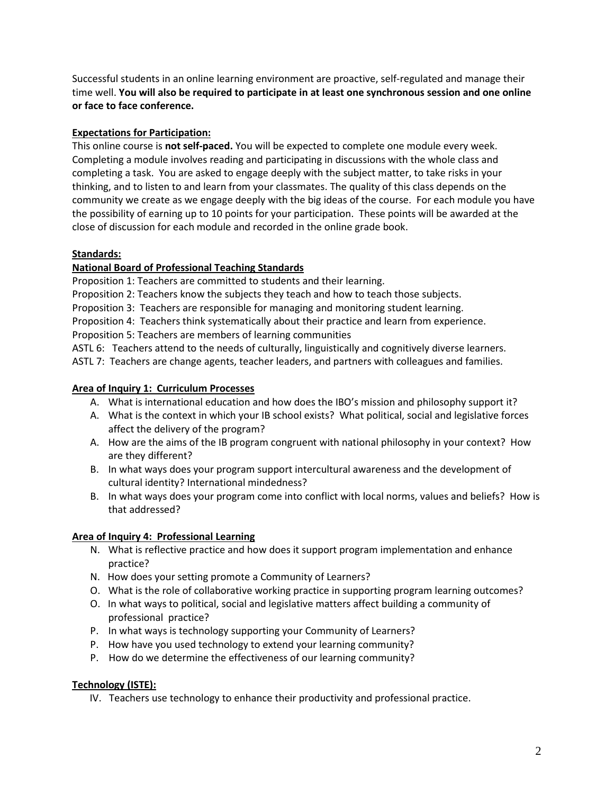Successful students in an online learning environment are proactive, self-regulated and manage their time well. **You will also be required to participate in at least one synchronous session and one online or face to face conference.** 

## **Expectations for Participation:**

This online course is **not self-paced.** You will be expected to complete one module every week. Completing a module involves reading and participating in discussions with the whole class and completing a task. You are asked to engage deeply with the subject matter, to take risks in your thinking, and to listen to and learn from your classmates. The quality of this class depends on the community we create as we engage deeply with the big ideas of the course. For each module you have the possibility of earning up to 10 points for your participation. These points will be awarded at the close of discussion for each module and recorded in the online grade book.

## **Standards:**

## **National Board of Professional Teaching Standards**

Proposition 1: Teachers are committed to students and their learning.

Proposition 2: Teachers know the subjects they teach and how to teach those subjects.

Proposition 3: Teachers are responsible for managing and monitoring student learning.

Proposition 4: Teachers think systematically about their practice and learn from experience.

Proposition 5: Teachers are members of learning communities

ASTL 6: Teachers attend to the needs of culturally, linguistically and cognitively diverse learners.

ASTL 7: Teachers are change agents, teacher leaders, and partners with colleagues and families.

## **Area of Inquiry 1: Curriculum Processes**

- A. What is international education and how does the IBO's mission and philosophy support it?
- A. What is the context in which your IB school exists? What political, social and legislative forces affect the delivery of the program?
- A. How are the aims of the IB program congruent with national philosophy in your context? How are they different?
- B. In what ways does your program support intercultural awareness and the development of cultural identity? International mindedness?
- B. In what ways does your program come into conflict with local norms, values and beliefs? How is that addressed?

# **Area of Inquiry 4: Professional Learning**

- N. What is reflective practice and how does it support program implementation and enhance practice?
- N. How does your setting promote a Community of Learners?
- O. What is the role of collaborative working practice in supporting program learning outcomes?
- O. In what ways to political, social and legislative matters affect building a community of professional practice?
- P. In what ways is technology supporting your Community of Learners?
- P. How have you used technology to extend your learning community?
- P. How do we determine the effectiveness of our learning community?

### **Technology (ISTE):**

IV. Teachers use technology to enhance their productivity and professional practice.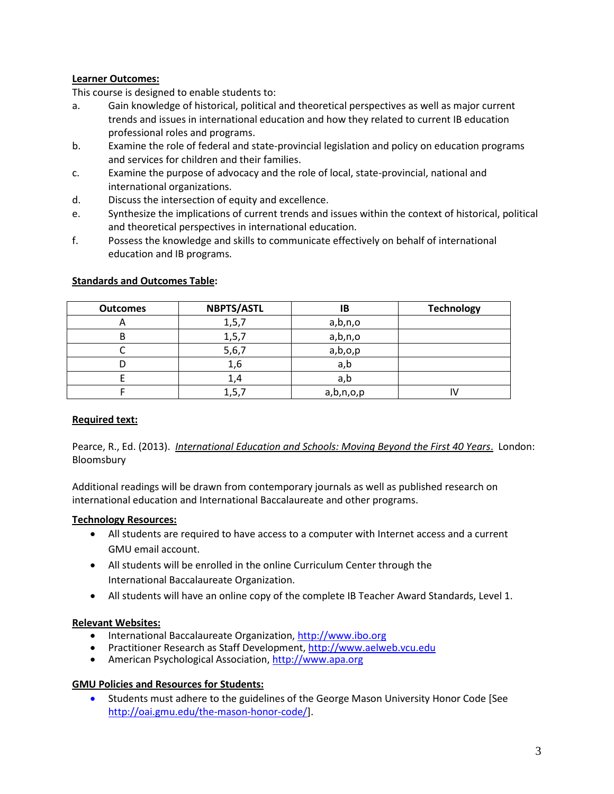## **Learner Outcomes:**

This course is designed to enable students to:

- a. Gain knowledge of historical, political and theoretical perspectives as well as major current trends and issues in international education and how they related to current IB education professional roles and programs.
- b. Examine the role of federal and state-provincial legislation and policy on education programs and services for children and their families.
- c. Examine the purpose of advocacy and the role of local, state-provincial, national and international organizations.
- d. Discuss the intersection of equity and excellence.
- e. Synthesize the implications of current trends and issues within the context of historical, political and theoretical perspectives in international education.
- f. Possess the knowledge and skills to communicate effectively on behalf of international education and IB programs.

| <b>Outcomes</b> | <b>NBPTS/ASTL</b> | ΙB        | <b>Technology</b> |
|-----------------|-------------------|-----------|-------------------|
| o               | 1, 5, 7           | a,b,n,o   |                   |
|                 | 1, 5, 7           | a,b,n,o   |                   |
|                 | 5,6,7             | a,b,o,p   |                   |
|                 | 1,6               | a,b       |                   |
|                 | 1,4               | a,b       |                   |
|                 | 1, 5, 7           | a,b,n,o,p |                   |

#### **Standards and Outcomes Table:**

### **Required text:**

Pearce, R., Ed. (2013). *International Education and Schools: Moving Beyond the First 40 Years*. London: Bloomsbury

Additional readings will be drawn from contemporary journals as well as published research on international education and International Baccalaureate and other programs.

### **Technology Resources:**

- All students are required to have access to a computer with Internet access and a current GMU email account.
- All students will be enrolled in the online Curriculum Center through the International Baccalaureate Organization.
- All students will have an online copy of the complete IB Teacher Award Standards, Level 1.

### **Relevant Websites:**

- International Baccalaureate Organization, [http://www.ibo.org](http://www.ibo.org/)
- Practitioner Research as Staff Development[, http://www.aelweb.vcu.edu](http://www.aelweb.vcu.edu/)
- American Psychological Association[, http://www.apa.org](http://www.apa.org/)

### **GMU Policies and Resources for Students:**

• Students must adhere to the guidelines of the George Mason University Honor Code [See http:/[/oai.gmu.edu/the-mason-honor-code/\]](http://oai.gmu.edu/honor-code/).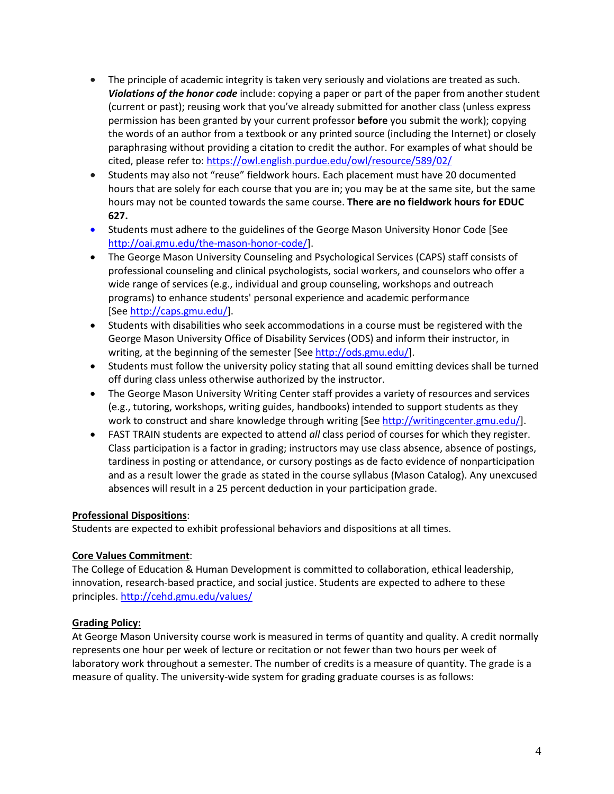- The principle of academic integrity is taken very seriously and violations are treated as such. *Violations of the honor code* include: copying a paper or part of the paper from another student (current or past); reusing work that you've already submitted for another class (unless express permission has been granted by your current professor **before** you submit the work); copying the words of an author from a textbook or any printed source (including the Internet) or closely paraphrasing without providing a citation to credit the author. For examples of what should be cited, please refer to:<https://owl.english.purdue.edu/owl/resource/589/02/>
- Students may also not "reuse" fieldwork hours. Each placement must have 20 documented hours that are solely for each course that you are in; you may be at the same site, but the same hours may not be counted towards the same course. **There are no fieldwork hours for EDUC 627.**
- Students must adhere to the guidelines of the George Mason University Honor Code [See http:/[/oai.gmu.edu/the-mason-honor-code/\]](http://oai.gmu.edu/honor-code/).
- [The George Mason University Counseling and Psychological Services \(CAPS\) staff consists of](http://universitypolicy.gmu.edu/1301gen.html)  [professional counseling and clinical psychologists, social workers, and counselors who offer a](http://universitypolicy.gmu.edu/1301gen.html)  [wide range of services \(e.g., individual and group counseling, workshops and outreach](http://universitypolicy.gmu.edu/1301gen.html)  [programs\) to enhance students' personal experience and academic performance](http://universitypolicy.gmu.edu/1301gen.html)  [\[See](http://universitypolicy.gmu.edu/1301gen.html) [http://caps.gmu.edu/\]](http://universitypolicy.gmu.edu/1301gen.html).
- Students with disabilities who seek accommodations in a course must be registered with the George Mason University Office of Disability Services (ODS) and inform their instructor, in writing, at the beginning of the semester [See [http://ods.gmu.edu/\]](http://ods.gmu.edu/).
- Students must follow the university policy stating that all sound emitting devices shall be turned off during class unless otherwise authorized by the instructor.
- The George Mason University Writing Center staff provides a variety of resources and services (e.g., tutoring, workshops, writing guides, handbooks) intended to support students as they work to construct and share knowledge through writing [See [http://writingcenter.gmu.edu/\]](http://writingcenter.gmu.edu/).
- FAST TRAIN students are expected to attend *all* class period of courses for which they register. Class participation is a factor in grading; instructors may use class absence, absence of postings, tardiness in posting or attendance, or cursory postings as de facto evidence of nonparticipation and as a result lower the grade as stated in the course syllabus (Mason Catalog). Any unexcused absences will result in a 25 percent deduction in your participation grade.

# **Professional Dispositions**:

Students are expected to exhibit professional behaviors and dispositions at all times.

### **Core Values Commitment**:

The College of Education & Human Development is committed to collaboration, ethical leadership, innovation, research-based practice, and social justice. Students are expected to adhere to these principles. <http://cehd.gmu.edu/values/>

# **Grading Policy:**

At George Mason University course work is measured in terms of quantity and quality. A credit normally represents one hour per week of lecture or recitation or not fewer than two hours per week of laboratory work throughout a semester. The number of credits is a measure of quantity. The grade is a measure of quality. The university-wide system for grading graduate courses is as follows: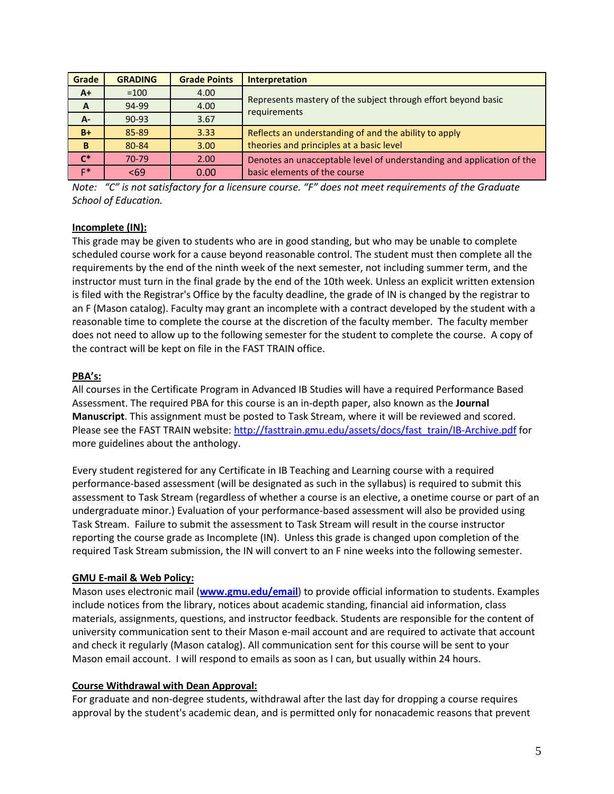| Grade        | <b>GRADING</b> | <b>Grade Points</b> | <b>Interpretation</b>                                                 |  |
|--------------|----------------|---------------------|-----------------------------------------------------------------------|--|
| $A+$         | $=100$         | 4.00                |                                                                       |  |
| $\mathbf{A}$ | 94-99          | 4.00                | Represents mastery of the subject through effort beyond basic         |  |
| A-           | $90 - 93$      | 3.67                | requirements                                                          |  |
| $B+$         | 85-89          | 3.33                | Reflects an understanding of and the ability to apply                 |  |
| B            | 80-84          | 3.00                | theories and principles at a basic level                              |  |
| $C^*$        | 70-79          | 2.00                | Denotes an unacceptable level of understanding and application of the |  |
| $F^*$        | < 69           | 0.00                | basic elements of the course                                          |  |

*Note: "C" is not satisfactory for a licensure course. "F" does not meet requirements of the Graduate School of Education.*

# **Incomplete (IN):**

This grade may be given to students who are in good standing, but who may be unable to complete scheduled course work for a cause beyond reasonable control. The student must then complete all the requirements by the end of the ninth week of the next semester, not including summer term, and the instructor must turn in the final grade by the end of the 10th week. Unless an explicit written extension is filed with the Registrar's Office by the faculty deadline, the grade of IN is changed by the registrar to an F (Mason catalog). Faculty may grant an incomplete with a contract developed by the student with a reasonable time to complete the course at the discretion of the faculty member. The faculty member does not need to allow up to the following semester for the student to complete the course. A copy of the contract will be kept on file in the FAST TRAIN office.

## **PBA's:**

All courses in the Certificate Program in Advanced IB Studies will have a required Performance Based Assessment. The required PBA for this course is an in-depth paper, also known as the **Journal Manuscript**. This assignment must be posted to Task Stream, where it will be reviewed and scored. Please see the FAST TRAIN website: [http://fasttrain.gmu.edu/assets/docs/fast\\_train/IB-Archive.pdf](http://fasttrain.gmu.edu/assets/docs/fast_train/IB-Archive.pdf) for more guidelines about the anthology.

Every student registered for any Certificate in IB Teaching and Learning course with a required performance-based assessment (will be designated as such in the syllabus) is required to submit this assessment to Task Stream (regardless of whether a course is an elective, a onetime course or part of an undergraduate minor.) Evaluation of your performance-based assessment will also be provided using Task Stream. Failure to submit the assessment to Task Stream will result in the course instructor reporting the course grade as Incomplete (IN). Unless this grade is changed upon completion of the required Task Stream submission, the IN will convert to an F nine weeks into the following semester.

# **GMU E-mail & Web Policy:**

Mason uses electronic mail (**[www.gmu.edu/email](http://www.gmu.edu/email)**) to provide official information to students. Examples include notices from the library, notices about academic standing, financial aid information, class materials, assignments, questions, and instructor feedback. Students are responsible for the content of university communication sent to their Mason e-mail account and are required to activate that account and check it regularly (Mason catalog). All communication sent for this course will be sent to your Mason email account. I will respond to emails as soon as I can, but usually within 24 hours.

### **Course Withdrawal with Dean Approval:**

For graduate and non-degree students, withdrawal after the last day for dropping a course requires approval by the student's academic dean, and is permitted only for nonacademic reasons that prevent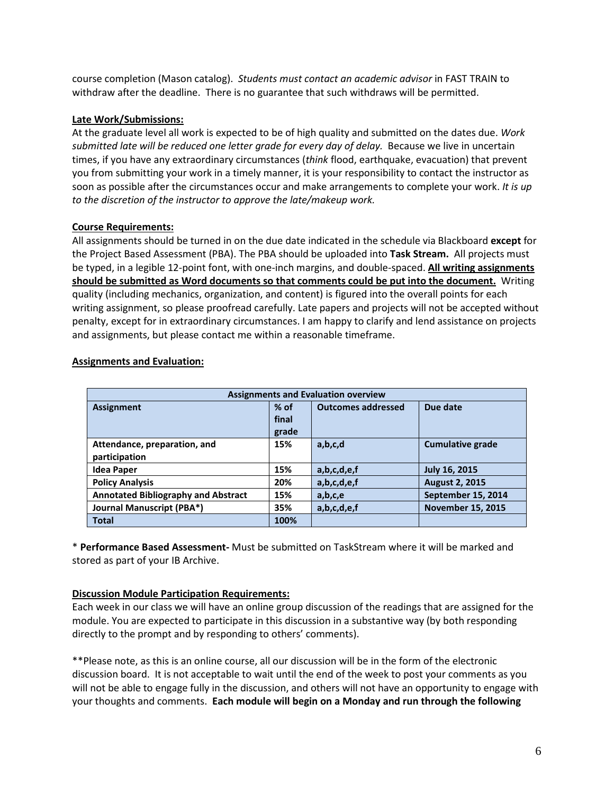course completion (Mason catalog). *Students must contact an academic advisor* in FAST TRAIN to withdraw after the deadline. There is no guarantee that such withdraws will be permitted.

## **Late Work/Submissions:**

At the graduate level all work is expected to be of high quality and submitted on the dates due. *Work submitted late will be reduced one letter grade for every day of delay.*Because we live in uncertain times, if you have any extraordinary circumstances (*think* flood, earthquake, evacuation) that prevent you from submitting your work in a timely manner, it is your responsibility to contact the instructor as soon as possible after the circumstances occur and make arrangements to complete your work. *It is up to the discretion of the instructor to approve the late/makeup work.*

## **Course Requirements:**

All assignments should be turned in on the due date indicated in the schedule via Blackboard **except** for the Project Based Assessment (PBA). The PBA should be uploaded into **Task Stream.** All projects must be typed, in a legible 12-point font, with one-inch margins, and double-spaced. **All writing assignments should be submitted as Word documents so that comments could be put into the document.** Writing quality (including mechanics, organization, and content) is figured into the overall points for each writing assignment, so please proofread carefully. Late papers and projects will not be accepted without penalty, except for in extraordinary circumstances. I am happy to clarify and lend assistance on projects and assignments, but please contact me within a reasonable timeframe.

| <b>Assignments and Evaluation overview</b> |        |                           |                          |  |
|--------------------------------------------|--------|---------------------------|--------------------------|--|
| <b>Assignment</b>                          | $%$ of | <b>Outcomes addressed</b> | Due date                 |  |
|                                            | final  |                           |                          |  |
|                                            | grade  |                           |                          |  |
| Attendance, preparation, and               | 15%    | a,b,c,d                   | <b>Cumulative grade</b>  |  |
| participation                              |        |                           |                          |  |
| <b>Idea Paper</b>                          | 15%    | a,b,c,d,e,f               | <b>July 16, 2015</b>     |  |
| <b>Policy Analysis</b>                     | 20%    | a,b,c,d,e,f               | <b>August 2, 2015</b>    |  |
| <b>Annotated Bibliography and Abstract</b> | 15%    | a,b,c,e                   | September 15, 2014       |  |
| <b>Journal Manuscript (PBA*)</b>           | 35%    | a,b,c,d,e,f               | <b>November 15, 2015</b> |  |
| <b>Total</b>                               | 100%   |                           |                          |  |

### **Assignments and Evaluation:**

\* **Performance Based Assessment-** Must be submitted on TaskStream where it will be marked and stored as part of your IB Archive.

### **Discussion Module Participation Requirements:**

Each week in our class we will have an online group discussion of the readings that are assigned for the module. You are expected to participate in this discussion in a substantive way (by both responding directly to the prompt and by responding to others' comments).

\*\*Please note, as this is an online course, all our discussion will be in the form of the electronic discussion board. It is not acceptable to wait until the end of the week to post your comments as you will not be able to engage fully in the discussion, and others will not have an opportunity to engage with your thoughts and comments. **Each module will begin on a Monday and run through the following**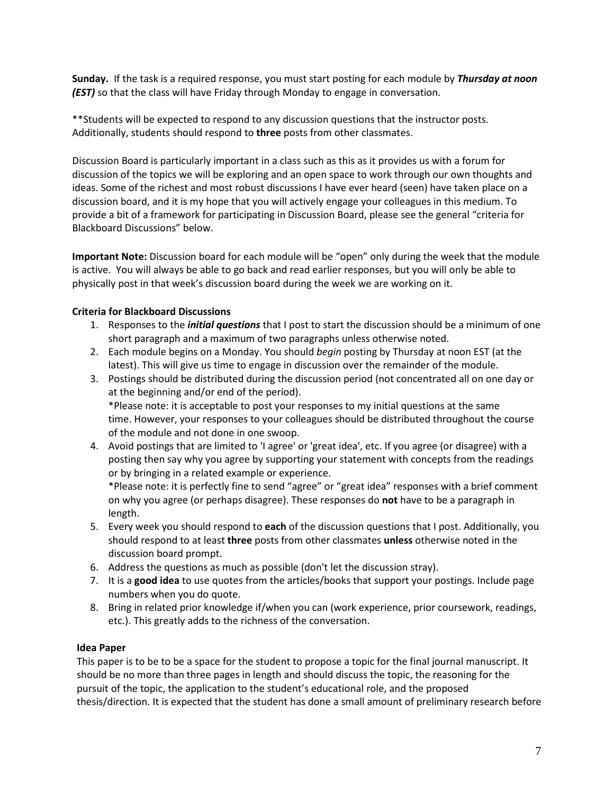**Sunday.** If the task is a required response, you must start posting for each module by *Thursday at noon (EST)* so that the class will have Friday through Monday to engage in conversation.

\*\*Students will be expected to respond to any discussion questions that the instructor posts. Additionally, students should respond to **three** posts from other classmates.

Discussion Board is particularly important in a class such as this as it provides us with a forum for discussion of the topics we will be exploring and an open space to work through our own thoughts and ideas. Some of the richest and most robust discussions I have ever heard (seen) have taken place on a discussion board, and it is my hope that you will actively engage your colleagues in this medium. To provide a bit of a framework for participating in Discussion Board, please see the general "criteria for Blackboard Discussions" below.

**Important Note:** Discussion board for each module will be "open" only during the week that the module is active. You will always be able to go back and read earlier responses, but you will only be able to physically post in that week's discussion board during the week we are working on it.

# **Criteria for Blackboard Discussions**

- 1. Responses to the *initial questions* that I post to start the discussion should be a minimum of one short paragraph and a maximum of two paragraphs unless otherwise noted.
- 2. Each module begins on a Monday. You should *begin* posting by Thursday at noon EST (at the latest). This will give us time to engage in discussion over the remainder of the module.
- 3. Postings should be distributed during the discussion period (not concentrated all on one day or at the beginning and/or end of the period). \*Please note: it is acceptable to post your responses to my initial questions at the same time. However, your responses to your colleagues should be distributed throughout the course of the module and not done in one swoop.
- 4. Avoid postings that are limited to 'I agree' or 'great idea', etc. If you agree (or disagree) with a posting then say why you agree by supporting your statement with concepts from the readings or by bringing in a related example or experience.

\*Please note: it is perfectly fine to send "agree" or "great idea" responses with a brief comment on why you agree (or perhaps disagree). These responses do **not** have to be a paragraph in length.

- 5. Every week you should respond to **each** of the discussion questions that I post. Additionally, you should respond to at least **three** posts from other classmates **unless** otherwise noted in the discussion board prompt.
- 6. Address the questions as much as possible (don't let the discussion stray).
- 7. It is a **good idea** to use quotes from the articles/books that support your postings. Include page numbers when you do quote.
- 8. Bring in related prior knowledge if/when you can (work experience, prior coursework, readings, etc.). This greatly adds to the richness of the conversation.

# **Idea Paper**

This paper is to be to be a space for the student to propose a topic for the final journal manuscript. It should be no more than three pages in length and should discuss the topic, the reasoning for the pursuit of the topic, the application to the student's educational role, and the proposed thesis/direction. It is expected that the student has done a small amount of preliminary research before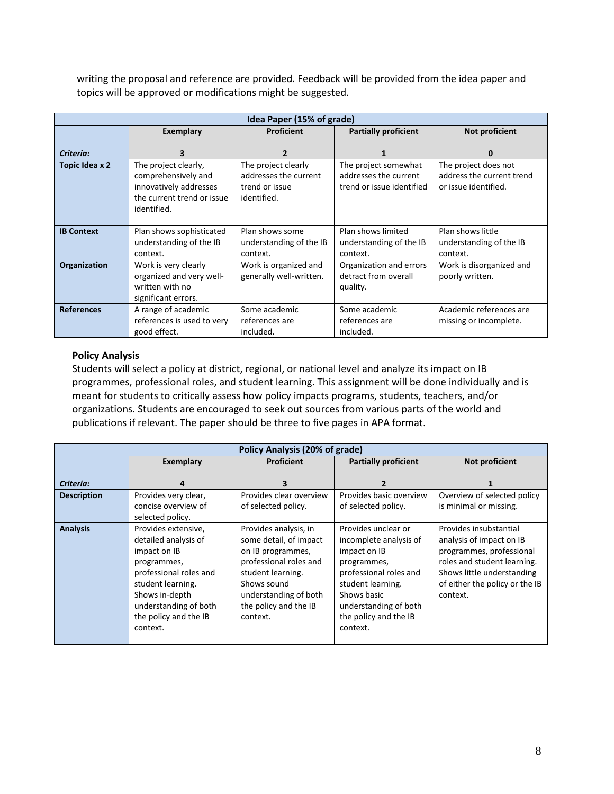writing the proposal and reference are provided. Feedback will be provided from the idea paper and topics will be approved or modifications might be suggested.

|                   | Idea Paper (15% of grade)                                                                                          |                                                                               |                                                                            |                                                                           |
|-------------------|--------------------------------------------------------------------------------------------------------------------|-------------------------------------------------------------------------------|----------------------------------------------------------------------------|---------------------------------------------------------------------------|
|                   | Exemplary                                                                                                          | Proficient                                                                    | <b>Partially proficient</b>                                                | Not proficient                                                            |
| Criteria:         | 3                                                                                                                  | $\overline{2}$                                                                |                                                                            | 0                                                                         |
| Topic Idea x 2    | The project clearly,<br>comprehensively and<br>innovatively addresses<br>the current trend or issue<br>identified. | The project clearly<br>addresses the current<br>trend or issue<br>identified. | The project somewhat<br>addresses the current<br>trend or issue identified | The project does not<br>address the current trend<br>or issue identified. |
| <b>IB Context</b> | Plan shows sophisticated<br>understanding of the IB<br>context.                                                    | Plan shows some<br>understanding of the IB<br>context.                        | Plan shows limited<br>understanding of the IB<br>context.                  | Plan shows little<br>understanding of the IB<br>context.                  |
| Organization      | Work is very clearly<br>organized and very well-<br>written with no<br>significant errors.                         | Work is organized and<br>generally well-written.                              | Organization and errors<br>detract from overall<br>quality.                | Work is disorganized and<br>poorly written.                               |
| <b>References</b> | A range of academic<br>references is used to very<br>good effect.                                                  | Some academic<br>references are<br>included.                                  | Some academic<br>references are<br>included.                               | Academic references are<br>missing or incomplete.                         |

# **Policy Analysis**

Students will select a policy at district, regional, or national level and analyze its impact on IB programmes, professional roles, and student learning. This assignment will be done individually and is meant for students to critically assess how policy impacts programs, students, teachers, and/or organizations. Students are encouraged to seek out sources from various parts of the world and publications if relevant. The paper should be three to five pages in APA format.

|                    | Policy Analysis (20% of grade)                                                                                                                                                                            |                                                                                                                                                                                                  |                                                                                                                                                                                                          |                                                                                                                                                                                           |
|--------------------|-----------------------------------------------------------------------------------------------------------------------------------------------------------------------------------------------------------|--------------------------------------------------------------------------------------------------------------------------------------------------------------------------------------------------|----------------------------------------------------------------------------------------------------------------------------------------------------------------------------------------------------------|-------------------------------------------------------------------------------------------------------------------------------------------------------------------------------------------|
|                    | Exemplary                                                                                                                                                                                                 | <b>Proficient</b>                                                                                                                                                                                | <b>Partially proficient</b>                                                                                                                                                                              | Not proficient                                                                                                                                                                            |
| Criteria:          | 4                                                                                                                                                                                                         | з                                                                                                                                                                                                | 2                                                                                                                                                                                                        |                                                                                                                                                                                           |
| <b>Description</b> | Provides very clear,<br>concise overview of<br>selected policy.                                                                                                                                           | Provides clear overview<br>of selected policy.                                                                                                                                                   | Provides basic overview<br>of selected policy.                                                                                                                                                           | Overview of selected policy<br>is minimal or missing.                                                                                                                                     |
| <b>Analysis</b>    | Provides extensive,<br>detailed analysis of<br>impact on IB<br>programmes,<br>professional roles and<br>student learning.<br>Shows in-depth<br>understanding of both<br>the policy and the IB<br>context. | Provides analysis, in<br>some detail, of impact<br>on IB programmes,<br>professional roles and<br>student learning.<br>Shows sound<br>understanding of both<br>the policy and the IB<br>context. | Provides unclear or<br>incomplete analysis of<br>impact on IB<br>programmes,<br>professional roles and<br>student learning.<br>Shows basic<br>understanding of both<br>the policy and the IB<br>context. | Provides insubstantial<br>analysis of impact on IB<br>programmes, professional<br>roles and student learning.<br>Shows little understanding<br>of either the policy or the IB<br>context. |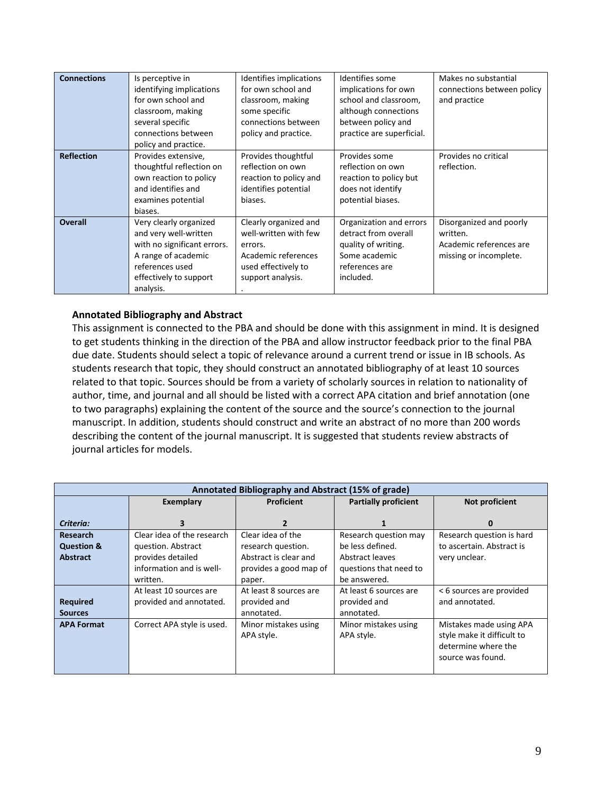| <b>Connections</b> | Is perceptive in<br>identifying implications<br>for own school and<br>classroom, making<br>several specific<br>connections between<br>policy and practice.      | Identifies implications<br>for own school and<br>classroom, making<br>some specific<br>connections between<br>policy and practice. | Identifies some<br>implications for own<br>school and classroom,<br>although connections<br>between policy and<br>practice are superficial. | Makes no substantial<br>connections between policy<br>and practice                       |
|--------------------|-----------------------------------------------------------------------------------------------------------------------------------------------------------------|------------------------------------------------------------------------------------------------------------------------------------|---------------------------------------------------------------------------------------------------------------------------------------------|------------------------------------------------------------------------------------------|
| <b>Reflection</b>  | Provides extensive,<br>thoughtful reflection on<br>own reaction to policy<br>and identifies and<br>examines potential<br>biases.                                | Provides thoughtful<br>reflection on own<br>reaction to policy and<br>identifies potential<br>biases.                              | Provides some<br>reflection on own<br>reaction to policy but<br>does not identify<br>potential biases.                                      | Provides no critical<br>reflection.                                                      |
| <b>Overall</b>     | Very clearly organized<br>and very well-written<br>with no significant errors.<br>A range of academic<br>references used<br>effectively to support<br>analysis. | Clearly organized and<br>well-written with few<br>errors.<br>Academic references<br>used effectively to<br>support analysis.       | Organization and errors<br>detract from overall<br>quality of writing.<br>Some academic<br>references are<br>included.                      | Disorganized and poorly<br>written.<br>Academic references are<br>missing or incomplete. |

## **Annotated Bibliography and Abstract**

This assignment is connected to the PBA and should be done with this assignment in mind. It is designed to get students thinking in the direction of the PBA and allow instructor feedback prior to the final PBA due date. Students should select a topic of relevance around a current trend or issue in IB schools. As students research that topic, they should construct an annotated bibliography of at least 10 sources related to that topic. Sources should be from a variety of scholarly sources in relation to nationality of author, time, and journal and all should be listed with a correct APA citation and brief annotation (one to two paragraphs) explaining the content of the source and the source's connection to the journal manuscript. In addition, students should construct and write an abstract of no more than 200 words describing the content of the journal manuscript. It is suggested that students review abstracts of journal articles for models.

| Annotated Bibliography and Abstract (15% of grade) |                            |                                    |                                    |                                                       |
|----------------------------------------------------|----------------------------|------------------------------------|------------------------------------|-------------------------------------------------------|
|                                                    | Exemplary                  | <b>Proficient</b>                  | <b>Partially proficient</b>        | Not proficient                                        |
|                                                    |                            |                                    |                                    |                                                       |
| Criteria:                                          | З                          | 2                                  | 1                                  | 0                                                     |
| Research                                           | Clear idea of the research | Clear idea of the                  | Research question may              | Research question is hard                             |
| <b>Question &amp;</b>                              | question. Abstract         | research question.                 | be less defined.                   | to ascertain. Abstract is                             |
| <b>Abstract</b>                                    | provides detailed          | Abstract is clear and              | Abstract leaves                    | very unclear.                                         |
|                                                    | information and is well-   | provides a good map of             | questions that need to             |                                                       |
|                                                    | written.                   | paper.                             | be answered.                       |                                                       |
|                                                    | At least 10 sources are    | At least 8 sources are             | At least 6 sources are             | <6 sources are provided                               |
| <b>Required</b>                                    | provided and annotated.    | provided and                       | provided and                       | and annotated.                                        |
| <b>Sources</b>                                     |                            | annotated.                         | annotated.                         |                                                       |
| <b>APA Format</b>                                  | Correct APA style is used. | Minor mistakes using<br>APA style. | Minor mistakes using<br>APA style. | Mistakes made using APA<br>style make it difficult to |
|                                                    |                            |                                    |                                    | determine where the                                   |
|                                                    |                            |                                    |                                    | source was found.                                     |
|                                                    |                            |                                    |                                    |                                                       |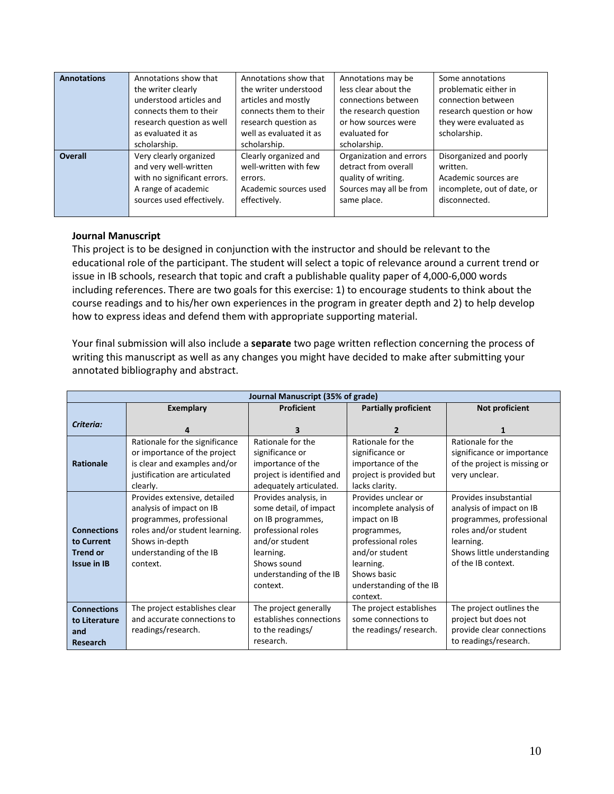| <b>Annotations</b> | Annotations show that<br>the writer clearly | Annotations show that<br>the writer understood | Annotations may be<br>less clear about the | Some annotations<br>problematic either in |
|--------------------|---------------------------------------------|------------------------------------------------|--------------------------------------------|-------------------------------------------|
|                    | understood articles and                     | articles and mostly                            | connections between                        | connection between                        |
|                    | connects them to their                      | connects them to their                         | the research question                      | research question or how                  |
|                    | research question as well                   | research question as                           | or how sources were                        | they were evaluated as                    |
|                    | as evaluated it as                          | well as evaluated it as                        | evaluated for                              | scholarship.                              |
|                    | scholarship.                                | scholarship.                                   | scholarship.                               |                                           |
| <b>Overall</b>     | Very clearly organized                      | Clearly organized and                          | Organization and errors                    | Disorganized and poorly                   |
|                    | and very well-written                       | well-written with few                          | detract from overall                       | written.                                  |
|                    | with no significant errors.                 | errors.                                        | quality of writing.                        | Academic sources are                      |
|                    | A range of academic                         | Academic sources used                          | Sources may all be from                    | incomplete, out of date, or               |
|                    | sources used effectively.                   | effectively.                                   | same place.                                | disconnected.                             |
|                    |                                             |                                                |                                            |                                           |

#### **Journal Manuscript**

This project is to be designed in conjunction with the instructor and should be relevant to the educational role of the participant. The student will select a topic of relevance around a current trend or issue in IB schools, research that topic and craft a publishable quality paper of 4,000-6,000 words including references. There are two goals for this exercise: 1) to encourage students to think about the course readings and to his/her own experiences in the program in greater depth and 2) to help develop how to express ideas and defend them with appropriate supporting material.

Your final submission will also include a **separate** two page written reflection concerning the process of writing this manuscript as well as any changes you might have decided to make after submitting your annotated bibliography and abstract.

| Journal Manuscript (35% of grade)                                         |                                                                                                                                                                                 |                                                                                                                                                                                 |                                                                                                                                                                                         |                                                                                                                                                                         |
|---------------------------------------------------------------------------|---------------------------------------------------------------------------------------------------------------------------------------------------------------------------------|---------------------------------------------------------------------------------------------------------------------------------------------------------------------------------|-----------------------------------------------------------------------------------------------------------------------------------------------------------------------------------------|-------------------------------------------------------------------------------------------------------------------------------------------------------------------------|
|                                                                           | <b>Exemplary</b>                                                                                                                                                                | Proficient                                                                                                                                                                      | <b>Partially proficient</b>                                                                                                                                                             | Not proficient                                                                                                                                                          |
| Criteria:                                                                 | 4                                                                                                                                                                               | 3                                                                                                                                                                               | $\overline{2}$                                                                                                                                                                          | 1                                                                                                                                                                       |
| <b>Rationale</b>                                                          | Rationale for the significance<br>or importance of the project<br>is clear and examples and/or<br>justification are articulated<br>clearly.                                     | Rationale for the<br>significance or<br>importance of the<br>project is identified and<br>adequately articulated.                                                               | Rationale for the<br>significance or<br>importance of the<br>project is provided but<br>lacks clarity.                                                                                  | Rationale for the<br>significance or importance<br>of the project is missing or<br>very unclear.                                                                        |
| <b>Connections</b><br>to Current<br><b>Trend or</b><br><b>Issue in IB</b> | Provides extensive, detailed<br>analysis of impact on IB<br>programmes, professional<br>roles and/or student learning.<br>Shows in-depth<br>understanding of the IB<br>context. | Provides analysis, in<br>some detail, of impact<br>on IB programmes,<br>professional roles<br>and/or student<br>learning.<br>Shows sound<br>understanding of the IB<br>context. | Provides unclear or<br>incomplete analysis of<br>impact on IB<br>programmes,<br>professional roles<br>and/or student<br>learning.<br>Shows basic<br>understanding of the IB<br>context. | Provides insubstantial<br>analysis of impact on IB<br>programmes, professional<br>roles and/or student<br>learning.<br>Shows little understanding<br>of the IB context. |
| <b>Connections</b><br>to Literature<br>and<br><b>Research</b>             | The project establishes clear<br>and accurate connections to<br>readings/research.                                                                                              | The project generally<br>establishes connections<br>to the readings/<br>research.                                                                                               | The project establishes<br>some connections to<br>the readings/research.                                                                                                                | The project outlines the<br>project but does not<br>provide clear connections<br>to readings/research.                                                                  |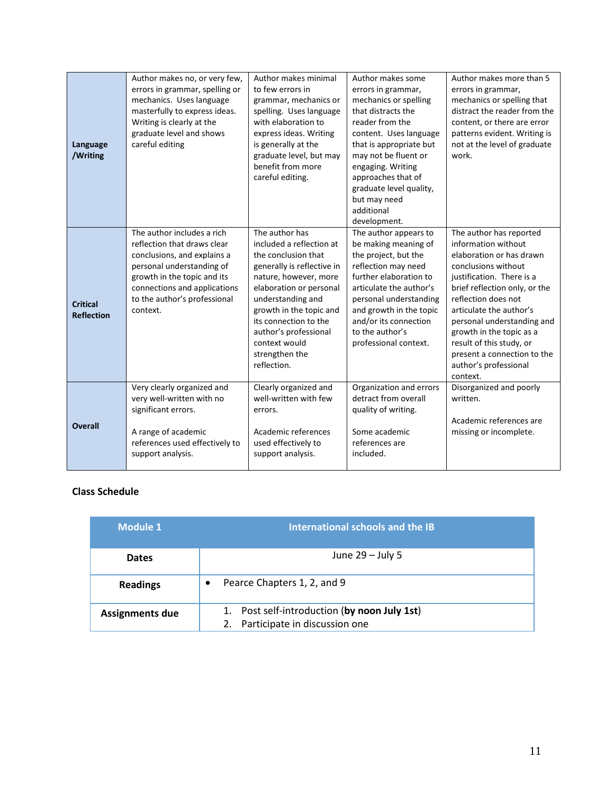| Language<br>/Writing                 | Author makes no, or very few,<br>errors in grammar, spelling or<br>mechanics. Uses language<br>masterfully to express ideas.<br>Writing is clearly at the<br>graduate level and shows<br>careful editing                         | Author makes minimal<br>to few errors in<br>grammar, mechanics or<br>spelling. Uses language<br>with elaboration to<br>express ideas. Writing<br>is generally at the<br>graduate level, but may<br>benefit from more<br>careful editing.                                                                | Author makes some<br>errors in grammar,<br>mechanics or spelling<br>that distracts the<br>reader from the<br>content. Uses language<br>that is appropriate but<br>may not be fluent or<br>engaging. Writing<br>approaches that of<br>graduate level quality,<br>but may need<br>additional<br>development. | Author makes more than 5<br>errors in grammar,<br>mechanics or spelling that<br>distract the reader from the<br>content, or there are error<br>patterns evident. Writing is<br>not at the level of graduate<br>work.                                                                                                                                                        |
|--------------------------------------|----------------------------------------------------------------------------------------------------------------------------------------------------------------------------------------------------------------------------------|---------------------------------------------------------------------------------------------------------------------------------------------------------------------------------------------------------------------------------------------------------------------------------------------------------|------------------------------------------------------------------------------------------------------------------------------------------------------------------------------------------------------------------------------------------------------------------------------------------------------------|-----------------------------------------------------------------------------------------------------------------------------------------------------------------------------------------------------------------------------------------------------------------------------------------------------------------------------------------------------------------------------|
| <b>Critical</b><br><b>Reflection</b> | The author includes a rich<br>reflection that draws clear<br>conclusions, and explains a<br>personal understanding of<br>growth in the topic and its<br>connections and applications<br>to the author's professional<br>context. | The author has<br>included a reflection at<br>the conclusion that<br>generally is reflective in<br>nature, however, more<br>elaboration or personal<br>understanding and<br>growth in the topic and<br>its connection to the<br>author's professional<br>context would<br>strengthen the<br>reflection. | The author appears to<br>be making meaning of<br>the project, but the<br>reflection may need<br>further elaboration to<br>articulate the author's<br>personal understanding<br>and growth in the topic<br>and/or its connection<br>to the author's<br>professional context.                                | The author has reported<br>information without<br>elaboration or has drawn<br>conclusions without<br>justification. There is a<br>brief reflection only, or the<br>reflection does not<br>articulate the author's<br>personal understanding and<br>growth in the topic as a<br>result of this study, or<br>present a connection to the<br>author's professional<br>context. |
| <b>Overall</b>                       | Very clearly organized and<br>very well-written with no<br>significant errors.<br>A range of academic<br>references used effectively to<br>support analysis.                                                                     | Clearly organized and<br>well-written with few<br>errors.<br>Academic references<br>used effectively to<br>support analysis.                                                                                                                                                                            | Organization and errors<br>detract from overall<br>quality of writing.<br>Some academic<br>references are<br>included.                                                                                                                                                                                     | Disorganized and poorly<br>written.<br>Academic references are<br>missing or incomplete.                                                                                                                                                                                                                                                                                    |

# **Class Schedule**

| <b>Module 1</b>        | International schools and the IB                                           |  |  |
|------------------------|----------------------------------------------------------------------------|--|--|
| <b>Dates</b>           | June $29 -$ July 5                                                         |  |  |
| <b>Readings</b>        | Pearce Chapters 1, 2, and 9                                                |  |  |
| <b>Assignments due</b> | Post self-introduction (by noon July 1st)<br>Participate in discussion one |  |  |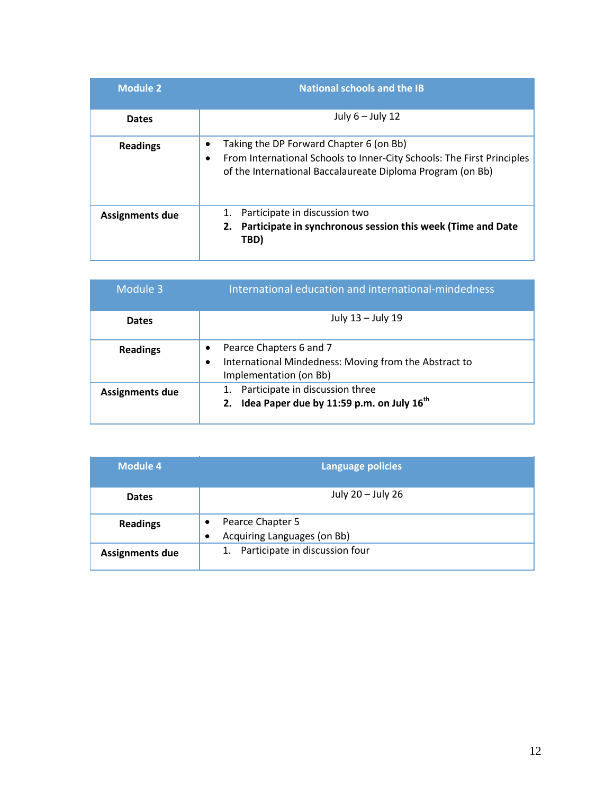| <b>Module 2</b>        | <b>National schools and the IB</b>                                                                                                                                              |
|------------------------|---------------------------------------------------------------------------------------------------------------------------------------------------------------------------------|
| <b>Dates</b>           | July $6 -$ July 12                                                                                                                                                              |
| <b>Readings</b>        | Taking the DP Forward Chapter 6 (on Bb)<br>From International Schools to Inner-City Schools: The First Principles<br>of the International Baccalaureate Diploma Program (on Bb) |
| <b>Assignments due</b> | Participate in discussion two<br>2. Participate in synchronous session this week (Time and Date<br>TBD)                                                                         |

| Module 3               | International education and international-mindedness                                                            |
|------------------------|-----------------------------------------------------------------------------------------------------------------|
| <b>Dates</b>           | July 13 - July 19                                                                                               |
| <b>Readings</b>        | Pearce Chapters 6 and 7<br>International Mindedness: Moving from the Abstract to<br>٠<br>Implementation (on Bb) |
| <b>Assignments due</b> | Participate in discussion three<br>2. Idea Paper due by 11:59 p.m. on July $16^{th}$                            |

| <b>Module 4</b>        | <b>Language policies</b>                                     |
|------------------------|--------------------------------------------------------------|
| <b>Dates</b>           | July 20 - July 26                                            |
| <b>Readings</b>        | Pearce Chapter 5<br>Acquiring Languages (on Bb)<br>$\bullet$ |
| <b>Assignments due</b> | 1. Participate in discussion four                            |